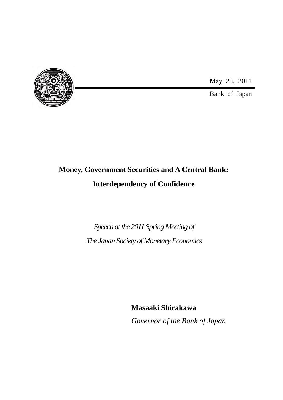

May 28, 2011

Bank of Japan

### **Money, Government Securities and A Central Bank: Interdependency of Confidence**

### *Speech at the 2011 Spring Meeting of The Japan Society of Monetary Economics*

<span id="page-0-0"></span>**Masaaki Shirakawa** *Governor of the Bank of Japan*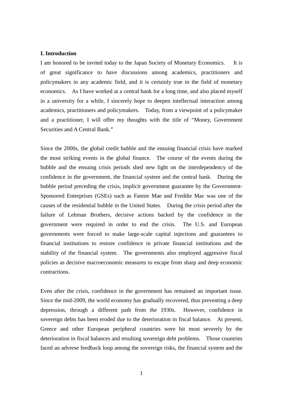### **I. Introduction**

I am honored to be invited today to the Japan Society of Monetary Economics. It is of great significance to have discussions among academics, practitioners and policymakers in any academic field, and it is certainly true in the field of monetary economics. As I have worked at a central bank for a long time, and also placed myself in a university for a while, I sincerely hope to deepen intellectual interaction among academics, practitioners and policymakers. Today, from a viewpoint of a policymaker and a practitioner, I will offer my thoughts with the title of "Money, Government Securities and A Central Bank."

Since the 2000s, the global credit bubble and the ensuing financial crisis have marked the most striking events in the global finance. The course of the events during the bubble and the ensuing crisis periods shed new light on the interdependency of the confidence in the government, the financial system and the central bank. During the bubble period preceding the crisis, implicit government guarantee by the Government-Sponsored Enterprises (GSEs) such as Fannie Mae and Freddie Mac was one of the causes of the residential bubble in the United States. During the crisis period after the failure of Lehman Brothers, decisive actions backed by the confidence in the government were required in order to end the crisis. The U.S. and European governments were forced to make large-scale capital injections and guarantees to financial institutions to restore confidence in private financial institutions and the stability of the financial system. The governments also employed aggressive fiscal policies as decisive macroeconomic measures to escape from sharp and deep economic contractions.

Even after the crisis, confidence in the government has remained an important issue. Since the mid-2009, the world economy has gradually recovered, thus preventing a deep depression, through a different path from the 1930s. However, confidence in sovereign debts has been eroded due to the deterioration in fiscal balance. At present, Greece and other European peripheral countries were hit most severely by the deterioration in fiscal balances and resulting sovereign debt problems. Those countries faced an adverse feedback loop among the sovereign risks, the financial system and the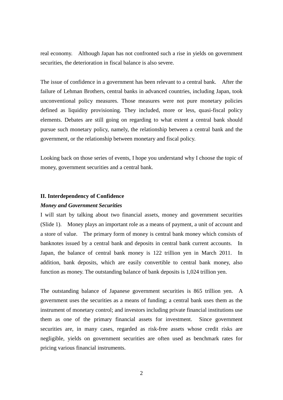real economy. Although Japan has not confronted such a rise in yields on government securities, the deterioration in fiscal balance is also severe.

The issue of confidence in a government has been relevant to a central bank. After the failure of Lehman Brothers, central banks in advanced countries, including Japan, took unconventional policy measures. Those measures were not pure monetary policies defined as liquidity provisioning. They included, more or less, quasi-fiscal policy elements. Debates are still going on regarding to what extent a central bank should pursue such monetary policy, namely, the relationship between a central bank and the government, or the relationship between monetary and fiscal policy.

Looking back on those series of events, I hope you understand why I choose the topic of money, government securities and a central bank.

### **II. Interdependency of Confidence**

### *Money and Government Securities*

I will start by talking about two financial assets, money and government securities (Slide 1). Money plays an important role as a means of payment, a unit of account and a store of value. The primary form of money is central bank money which consists of banknotes issued by a central bank and deposits in central bank current accounts. In Japan, the balance of central bank money is 122 trillion yen in March 2011. In addition, bank deposits, which are easily convertible to central bank money, also function as money. The outstanding balance of bank deposits is 1,024 trillion yen.

The outstanding balance of Japanese government securities is 865 trillion yen. A government uses the securities as a means of funding; a central bank uses them as the instrument of monetary control; and investors including private financial institutions use them as one of the primary financial assets for investment. Since government securities are, in many cases, regarded as risk-free assets whose credit risks are negligible, yields on government securities are often used as benchmark rates for pricing various financial instruments.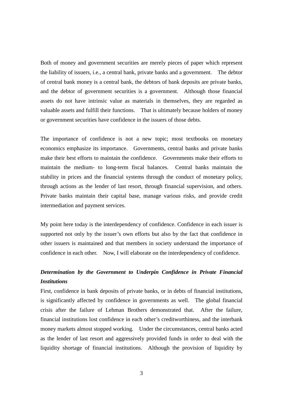Both of money and government securities are merely pieces of paper which represent the liability of issuers, i.e., a central bank, private banks and a government. The debtor of central bank money is a central bank, the debtors of bank deposits are private banks, and the debtor of government securities is a government. Although those financial assets do not have intrinsic value as materials in themselves, they are regarded as valuable assets and fulfill their functions. That is ultimately because holders of money or government securities have confidence in the issuers of those debts.

The importance of confidence is not a new topic; most textbooks on monetary economics emphasize its importance. Governments, central banks and private banks make their best efforts to maintain the confidence. Governments make their efforts to maintain the medium- to long-term fiscal balances. Central banks maintain the stability in prices and the financial systems through the conduct of monetary policy, through actions as the lender of last resort, through financial supervision, and others. Private banks maintain their capital base, manage various risks, and provide credit intermediation and payment services.

My point here today is the interdependency of confidence. Confidence in each issuer is supported not only by the issuer's own efforts but also by the fact that confidence in other issuers is maintained and that members in society understand the importance of confidence in each other. Now, I will elaborate on the interdependency of confidence.

### *Determination by the Government to Underpin Confidence in Private Financial Institutions*

First, confidence in bank deposits of private banks, or in debts of financial institutions, is significantly affected by confidence in governments as well. The global financial crisis after the failure of Lehman Brothers demonstrated that. After the failure, financial institutions lost confidence in each other's creditworthiness, and the interbank money markets almost stopped working. Under the circumstances, central banks acted as the lender of last resort and aggressively provided funds in order to deal with the liquidity shortage of financial institutions. Although the provision of liquidity by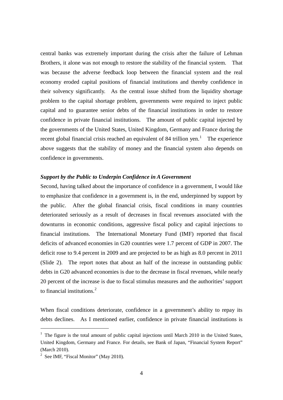central banks was extremely important during the crisis after the failure of Lehman Brothers, it alone was not enough to restore the stability of the financial system. That was because the adverse feedback loop between the financial system and the real economy eroded capital positions of financial institutions and thereby confidence in their solvency significantly. As the central issue shifted from the liquidity shortage problem to the capital shortage problem, governments were required to inject public capital and to guarantee senior debts of the financial institutions in order to restore confidence in private financial institutions. The amount of public capital injected by the governments of the United States, United Kingdom, Germany and France during the recent global financial crisis reached an equivalent of 84 trillion yen.<sup>[1](#page-0-0)</sup> The experience above suggests that the stability of money and the financial system also depends on confidence in governments.

### *Support by the Public to Underpin Confidence in A Government*

Second, having talked about the importance of confidence in a government, I would like to emphasize that confidence in a government is, in the end, underpinned by support by the public. After the global financial crisis, fiscal conditions in many countries deteriorated seriously as a result of decreases in fiscal revenues associated with the downturns in economic conditions, aggressive fiscal policy and capital injections to financial institutions. The International Monetary Fund (IMF) reported that fiscal deficits of advanced economies in G20 countries were 1.7 percent of GDP in 2007. The deficit rose to 9.4 percent in 2009 and are projected to be as high as 8.0 percent in 2011 (Slide 2). The report notes that about an half of the increase in outstanding public debts in G20 advanced economies is due to the decrease in fiscal revenues, while nearly 20 percent of the increase is due to fiscal stimulus measures and the authorities' support to financial institutions. [2](#page-4-0)

When fiscal conditions deteriorate, confidence in a government's ability to repay its debts declines. As I mentioned earlier, confidence in private financial institutions is

-

<span id="page-4-1"></span> $1$  The figure is the total amount of public capital injections until March 2010 in the United States, United Kingdom, Germany and France. For details, see Bank of Japan, "Financial System Report" (March 2010).

<span id="page-4-0"></span><sup>&</sup>lt;sup>2</sup> See IMF, "Fiscal Monitor" (May 2010).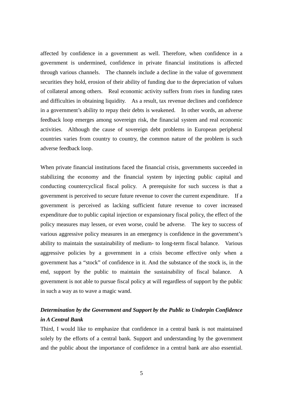affected by confidence in a government as well. Therefore, when confidence in a government is undermined, confidence in private financial institutions is affected through various channels. The channels include a decline in the value of government securities they hold, erosion of their ability of funding due to the depreciation of values of collateral among others. Real economic activity suffers from rises in funding rates and difficulties in obtaining liquidity. As a result, tax revenue declines and confidence in a government's ability to repay their debts is weakened. In other words, an adverse feedback loop emerges among sovereign risk, the financial system and real economic activities. Although the cause of sovereign debt problems in European peripheral countries varies from country to country, the common nature of the problem is such adverse feedback loop.

When private financial institutions faced the financial crisis, governments succeeded in stabilizing the economy and the financial system by injecting public capital and conducting countercyclical fiscal policy. A prerequisite for such success is that a government is perceived to secure future revenue to cover the current expenditure. If a government is perceived as lacking sufficient future revenue to cover increased expenditure due to public capital injection or expansionary fiscal policy, the effect of the policy measures may lessen, or even worse, could be adverse. The key to success of various aggressive policy measures in an emergency is confidence in the government's ability to maintain the sustainability of medium- to long-term fiscal balance. Various aggressive policies by a government in a crisis become effective only when a government has a "stock" of confidence in it. And the substance of the stock is, in the end, support by the public to maintain the sustainability of fiscal balance. A government is not able to pursue fiscal policy at will regardless of support by the public in such a way as to wave a magic wand.

### *Determination by the Government and Support by the Public to Underpin Confidence in A Central Bank*

Third, I would like to emphasize that confidence in a central bank is not maintained solely by the efforts of a central bank. Support and understanding by the government and the public about the importance of confidence in a central bank are also essential.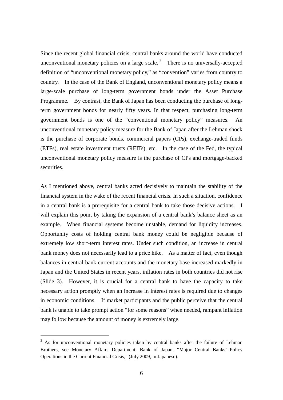Since the recent global financial crisis, central banks around the world have conducted unconventional monetary policies on a large scale.<sup>[3](#page-4-1)</sup> There is no universally-accepted definition of "unconventional monetary policy," as "convention" varies from country to country. In the case of the Bank of England, unconventional monetary policy means a large-scale purchase of long-term government bonds under the Asset Purchase Programme. By contrast, the Bank of Japan has been conducting the purchase of longterm government bonds for nearly fifty years. In that respect, purchasing long-term government bonds is one of the "conventional monetary policy" measures. An unconventional monetary policy measure for the Bank of Japan after the Lehman shock is the purchase of corporate bonds, commercial papers (CPs), exchange-traded funds (ETFs), real estate investment trusts (REITs), etc. In the case of the Fed, the typical unconventional monetary policy measure is the purchase of CPs and mortgage-backed securities.

As I mentioned above, central banks acted decisively to maintain the stability of the financial system in the wake of the recent financial crisis. In such a situation, confidence in a central bank is a prerequisite for a central bank to take those decisive actions. I will explain this point by taking the expansion of a central bank's balance sheet as an example. When financial systems become unstable, demand for liquidity increases. Opportunity costs of holding central bank money could be negligible because of extremely low short-term interest rates. Under such condition, an increase in central bank money does not necessarily lead to a price hike. As a matter of fact, even though balances in central bank current accounts and the monetary base increased markedly in Japan and the United States in recent years, inflation rates in both countries did not rise (Slide 3). However, it is crucial for a central bank to have the capacity to take necessary action promptly when an increase in interest rates is required due to changes in economic conditions. If market participants and the public perceive that the central bank is unable to take prompt action "for some reasons" when needed, rampant inflation may follow because the amount of money is extremely large.

-

<span id="page-6-0"></span> $3\,$  As for unconventional monetary policies taken by central banks after the failure of Lehman Brothers, see Monetary Affairs Department, Bank of Japan, "Major Central Banks' Policy Operations in the Current Financial Crisis," (July 2009, in Japanese).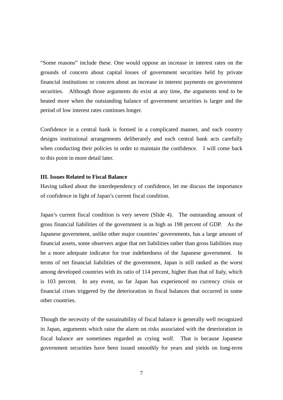"Some reasons" include these. One would oppose an increase in interest rates on the grounds of concern about capital losses of government securities held by private financial institutions or concern about an increase in interest payments on government securities. Although those arguments do exist at any time, the arguments tend to be heated more when the outstanding balance of government securities is larger and the period of low interest rates continues longer.

Confidence in a central bank is formed in a complicated manner, and each country designs institutional arrangements deliberately and each central bank acts carefully when conducting their policies in order to maintain the confidence. I will come back to this point in more detail later.

### **III. Issues Related to Fiscal Balance**

Having talked about the interdependency of confidence, let me discuss the importance of confidence in light of Japan's current fiscal condition.

Japan's current fiscal condition is very severe (Slide 4). The outstanding amount of gross financial liabilities of the government is as high as 198 percent of GDP. As the Japanese government, unlike other major countries' governments, has a large amount of financial assets, some observers argue that net liabilities rather than gross liabilities may be a more adequate indicator for true indebtedness of the Japanese government. In terms of net financial liabilities of the government, Japan is still ranked as the worst among developed countries with its ratio of 114 percent, higher than that of Italy, which is 103 percent. In any event, so far Japan has experienced no currency crisis or financial crises triggered by the deterioration in fiscal balances that occurred in some other countries.

Though the necessity of the sustainability of fiscal balance is generally well recognized in Japan, arguments which raise the alarm on risks associated with the deterioration in fiscal balance are sometimes regarded as crying wolf. That is because Japanese government securities have been issued smoothly for years and yields on long-term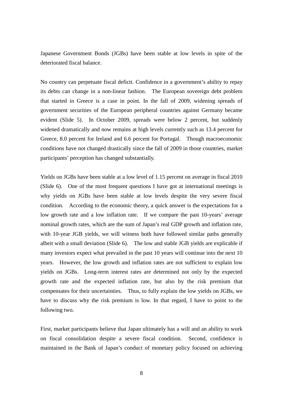Japanese Government Bonds (JGBs) have been stable at low levels in spite of the deteriorated fiscal balance.

No country can perpetuate fiscal deficit. Confidence in a government's ability to repay its debts can change in a non-linear fashion. The European sovereign debt problem that started in Greece is a case in point. In the fall of 2009, widening spreads of government securities of the European peripheral countries against Germany became evident (Slide 5). In October 2009, spreads were below 2 percent, but suddenly widened dramatically and now remains at high levels currently such as 13.4 percent for Greece, 8.0 percent for Ireland and 6.6 percent for Portugal. Though macroeconomic conditions have not changed drastically since the fall of 2009 in those countries, market participants' perception has changed substantially.

Yields on JGBs have been stable at a low level of 1.15 percent on average in fiscal 2010 (Slide 6). One of the most frequent questions I have got at international meetings is why yields on JGBs have been stable at low levels despite the very severe fiscal condition. According to the economic theory, a quick answer is the expectations for a low growth rate and a low inflation rate. If we compare the past 10-years' average nominal growth rates, which are the sum of Japan's real GDP growth and inflation rate, with 10-year JGB yields, we will witness both have followed similar paths generally albeit with a small deviation (Slide 6). The low and stable JGB yields are explicable if many investors expect what prevailed in the past 10 years will continue into the next 10 years. However, the low growth and inflation rates are not sufficient to explain low yields on JGBs. Long-term interest rates are determined not only by the expected growth rate and the expected inflation rate, but also by the risk premium that compensates for their uncertainties. Thus, to fully explain the low yields on JGBs, we have to discuss why the risk premium is low. In that regard, I have to point to the following two.

First, market participants believe that Japan ultimately has a will and an ability to work on fiscal consolidation despite a severe fiscal condition. Second, confidence is maintained in the Bank of Japan's conduct of monetary policy focused on achieving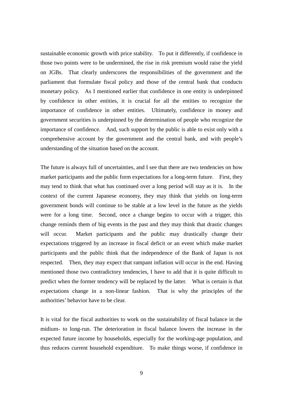sustainable economic growth with price stability. To put it differently, if confidence in those two points were to be undermined, the rise in risk premium would raise the yield on JGBs. That clearly underscores the responsibilities of the government and the parliament that formulate fiscal policy and those of the central bank that conducts monetary policy. As I mentioned earlier that confidence in one entity is underpinned by confidence in other entities, it is crucial for all the entities to recognize the importance of confidence in other entities. Ultimately, confidence in money and government securities is underpinned by the determination of people who recognize the importance of confidence. And, such support by the public is able to exist only with a comprehensive account by the government and the central bank, and with people's understanding of the situation based on the account.

The future is always full of uncertainties, and I see that there are two tendencies on how market participants and the public form expectations for a long-term future. First, they may tend to think that what has continued over a long period will stay as it is. In the context of the current Japanese economy, they may think that yields on long-term government bonds will continue to be stable at a low level in the future as the yields were for a long time. Second, once a change begins to occur with a trigger, this change reminds them of big events in the past and they may think that drastic changes will occur. Market participants and the public may drastically change their expectations triggered by an increase in fiscal deficit or an event which make market participants and the public think that the independence of the Bank of Japan is not respected. Then, they may expect that rampant inflation will occur in the end. Having mentioned those two contradictory tendencies, I have to add that it is quite difficult to predict when the former tendency will be replaced by the latter. What is certain is that expectations change in a non-linear fashion. That is why the principles of the authorities' behavior have to be clear.

It is vital for the fiscal authorities to work on the sustainability of fiscal balance in the midium- to long-run. The deterioration in fiscal balance lowers the increase in the expected future income by households, especially for the working-age population, and thus reduces current household expenditure. To make things worse, if confidence in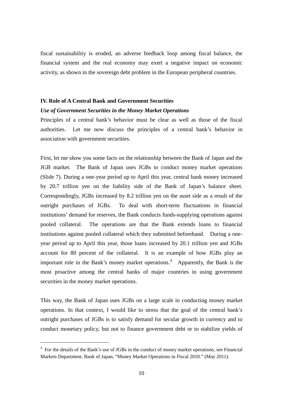fiscal sustainability is eroded, an adverse feedback loop among fiscal balance, the financial system and the real economy may exert a negative impact on economic activity, as shown in the sovereign debt problem in the European peripheral countries.

#### **IV. Role of A Central Bank and Government Securities**

#### *Use of Government Securities in the Money Market Operations*

Principles of a central bank's behavior must be clear as well as those of the fiscal authorities. Let me now discuss the principles of a central bank's behavior in association with government securities.

First, let me show you some facts on the relationship between the Bank of Japan and the JGB market. The Bank of Japan uses JGBs to conduct money market operations (Slide 7). During a one-year period up to April this year, central bank money increased by 20.7 trillion yen on the liability side of the Bank of Japan's balance sheet. Correspondingly, JGBs increased by 8.2 trillion yen on the asset side as a result of the outright purchases of JGBs. To deal with short-term fluctuations in financial institutions' demand for reserves, the Bank conducts funds-supplying operations against pooled collateral. The operations are that the Bank extends loans to financial institutions against pooled collateral which they submitted beforehand. During a oneyear period up to April this year, those loans increased by 20.1 trillion yen and JGBs account for 80 percent of the collateral. It is an example of how JGBs play an important role in the Bank's money market operations.<sup>[4](#page-6-0)</sup> Apparently, the Bank is the most proactive among the central banks of major countries in using government securities in the money market operations.

This way, the Bank of Japan uses JGBs on a large scale in conducting money market operations. In that context, I would like to stress that the goal of the central bank's outright purchases of JGBs is to satisfy demand for secular growth in currency and to conduct monetary policy, but not to finance government debt or to stabilize yields of

<span id="page-10-0"></span>-

<sup>&</sup>lt;sup>4</sup> For the details of the Bank's use of JGBs in the conduct of money market operations, see Financial Markets Department, Bank of Japan, "Money Market Operations in Fiscal 2010." (May 2011).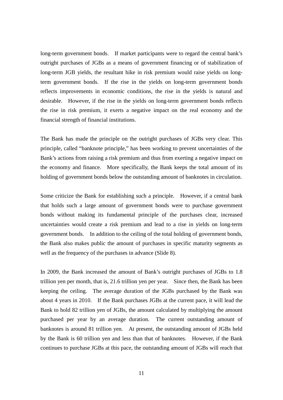long-term government bonds. If market participants were to regard the central bank's outright purchases of JGBs as a means of government financing or of stabilization of long-term JGB yields, the resultant hike in risk premium would raise yields on longterm government bonds. If the rise in the yields on long-term government bonds reflects improvements in economic conditions, the rise in the yields is natural and desirable. However, if the rise in the yields on long-term government bonds reflects the rise in risk premium, it exerts a negative impact on the real economy and the financial strength of financial institutions.

The Bank has made the principle on the outright purchases of JGBs very clear. This principle, called "banknote principle," has been working to prevent uncertainties of the Bank's actions from raising a risk premium and thus from exerting a negative impact on the economy and finance. More specifically, the Bank keeps the total amount of its holding of government bonds below the outstanding amount of banknotes in circulation.

Some criticize the Bank for establishing such a principle. However, if a central bank that holds such a large amount of government bonds were to purchase government bonds without making its fundamental principle of the purchases clear, increased uncertainties would create a risk premium and lead to a rise in yields on long-term government bonds. In addition to the ceiling of the total holding of government bonds, the Bank also makes public the amount of purchases in specific maturity segments as well as the frequency of the purchases in advance (Slide 8).

In 2009, the Bank increased the amount of Bank's outright purchases of JGBs to 1.8 trillion yen per month, that is, 21.6 trillion yen per year. Since then, the Bank has been keeping the ceiling. The average duration of the JGBs purchased by the Bank was about 4 years in 2010. If the Bank purchases JGBs at the current pace, it will lead the Bank to hold 82 trillion yen of JGBs, the amount calculated by multiplying the amount purchased per year by an average duration. The current outstanding amount of banknotes is around 81 trillion yen. At present, the outstanding amount of JGBs held by the Bank is 60 trillion yen and less than that of banknotes. However, if the Bank continues to purchase JGBs at this pace, the outstanding amount of JGBs will reach that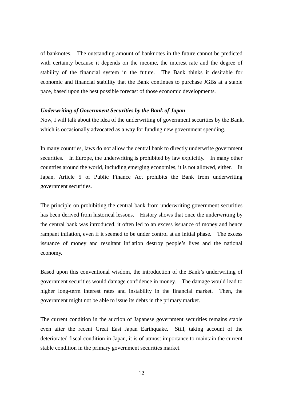of banknotes. The outstanding amount of banknotes in the future cannot be predicted with certainty because it depends on the income, the interest rate and the degree of stability of the financial system in the future. The Bank thinks it desirable for economic and financial stability that the Bank continues to purchase JGBs at a stable pace, based upon the best possible forecast of those economic developments.

### *Underwriting of Government Securities by the Bank of Japan*

Now, I will talk about the idea of the underwriting of government securities by the Bank, which is occasionally advocated as a way for funding new government spending.

In many countries, laws do not allow the central bank to directly underwrite government securities. In Europe, the underwriting is prohibited by law explicitly. In many other countries around the world, including emerging economies, it is not allowed, either. In Japan, Article 5 of Public Finance Act prohibits the Bank from underwriting government securities.

The principle on prohibiting the central bank from underwriting government securities has been derived from historical lessons. History shows that once the underwriting by the central bank was introduced, it often led to an excess issuance of money and hence rampant inflation, even if it seemed to be under control at an initial phase. The excess issuance of money and resultant inflation destroy people's lives and the national economy.

Based upon this conventional wisdom, the introduction of the Bank's underwriting of government securities would damage confidence in money. The damage would lead to higher long-term interest rates and instability in the financial market. Then, the government might not be able to issue its debts in the primary market.

The current condition in the auction of Japanese government securities remains stable even after the recent Great East Japan Earthquake. Still, taking account of the deteriorated fiscal condition in Japan, it is of utmost importance to maintain the current stable condition in the primary government securities market.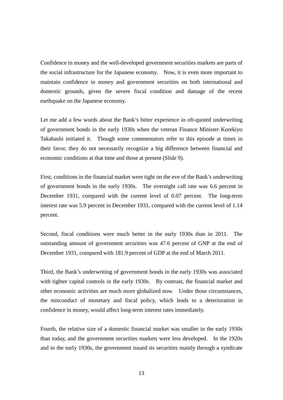Confidence in money and the well-developed government securities markets are parts of the social infrastructure for the Japanese economy. Now, it is even more important to maintain confidence in money and government securities on both international and domestic grounds, given the severe fiscal condition and damage of the recent earthquake on the Japanese economy.

Let me add a few words about the Bank's bitter experience in oft-quoted underwriting of government bonds in the early 1930s when the veteran Finance Minister Korekiyo Takahashi initiated it. Though some commentators refer to this episode at times in their favor, they do not necessarily recognize a big difference between financial and economic conditions at that time and those at present (Slide 9).

First, conditions in the financial market were tight on the eve of the Bank's underwriting of government bonds in the early 1930s. The overnight call rate was 6.6 percent in December 1931, compared with the current level of 0.07 percent. The long-term interest rate was 5.9 percent in December 1931, compared with the current level of 1.14 percent.

Second, fiscal conditions were much better in the early 1930s than in 2011. The outstanding amount of government securities was 47.6 percent of GNP at the end of December 1931, compared with 181.9 percent of GDP at the end of March 2011.

Third, the Bank's underwriting of government bonds in the early 1930s was associated with tighter capital controls in the early 1930s. By contrast, the financial market and other economic activities are much more globalized now. Under those circumstances, the misconduct of monetary and fiscal policy, which leads to a deterioration in confidence in money, would affect long-term interest rates immediately.

Fourth, the relative size of a domestic financial market was smaller in the early 1930s than today, and the government securities markets were less developed. In the 1920s and in the early 1930s, the government issued its securities mainly through a syndicate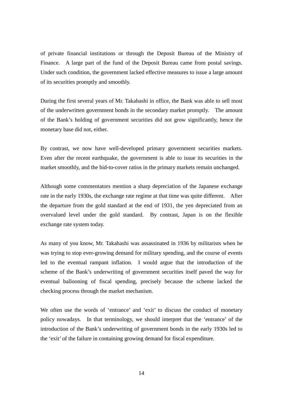of private financial institutions or through the Deposit Bureau of the Ministry of Finance. A large part of the fund of the Deposit Bureau came from postal savings. Under such condition, the government lacked effective measures to issue a large amount of its securities promptly and smoothly.

During the first several years of Mr. Takahashi in office, the Bank was able to sell most of the underwritten government bonds in the secondary market promptly. The amount of the Bank's holding of government securities did not grow significantly, hence the monetary base did not, either.

By contrast, we now have well-developed primary government securities markets. Even after the recent earthquake, the government is able to issue its securities in the market smoothly, and the bid-to-cover ratios in the primary markets remain unchanged.

Although some commentators mention a sharp depreciation of the Japanese exchange rate in the early 1930s, the exchange rate regime at that time was quite different. After the departure from the gold standard at the end of 1931, the yen depreciated from an overvalued level under the gold standard. By contrast, Japan is on the flexible exchange rate system today.

As many of you know, Mr. Takahashi was assassinated in 1936 by militarists when he was trying to stop ever-growing demand for military spending, and the course of events led to the eventual rampant inflation. I would argue that the introduction of the scheme of the Bank's underwriting of government securities itself paved the way for eventual ballooning of fiscal spending, precisely because the scheme lacked the checking process through the market mechanism.

We often use the words of 'entrance' and 'exit' to discuss the conduct of monetary policy nowadays. In that terminology, we should interpret that the 'entrance' of the introduction of the Bank's underwriting of government bonds in the early 1930s led to the 'exit' of the failure in containing growing demand for fiscal expenditure.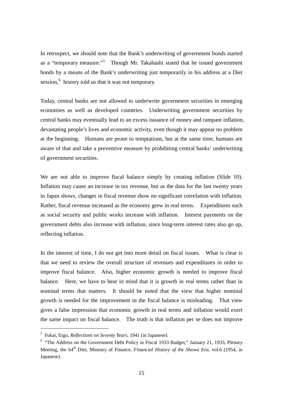In retrospect, we should note that the Bank's underwriting of government bonds started as a "temporary measure."<sup>[5](#page-10-0)</sup> Though Mr. Takahashi stated that he issued government bonds by a means of the Bank's underwriting just temporarily in his address at a Diet session,<sup>[6](#page-15-0)</sup> history told us that it was not temporary.

Today, central banks are not allowed to underwrite government securities in emerging economies as well as developed countries. Underwriting government securities by central banks may eventually lead to an excess issuance of money and rampant inflation, devastating people's lives and economic activity, even though it may appear no problem at the beginning. Humans are prone to temptations, but at the same time, humans are aware of that and take a preventive measure by prohibiting central banks' underwriting of government securities.

We are not able to improve fiscal balance simply by creating inflation (Slide 10). Inflation may cause an increase in tax revenue, but as the data for the last twenty years in Japan shows, changes in fiscal revenue show no significant correlation with inflation. Rather, fiscal revenue increased as the economy grew in real terms. Expenditures such as social security and public works increase with inflation. Interest payments on the government debts also increase with inflation, since long-term interest rates also go up, reflecting inflation.

In the interest of time, I do not get into more detail on fiscal issues. What is clear is that we need to review the overall structure of revenues and expenditures in order to improve fiscal balance. Also, higher economic growth is needed to improve fiscal balance. Here, we have to bear in mind that it is growth in real terms rather than in nominal terms that matters. It should be noted that the view that higher nominal growth is needed for the improvement in the fiscal balance is misleading. That view gives a false impression that economic growth in real terms and inflation would exert the same impact on fiscal balance. The truth is that inflation per se does not improve

-

<sup>5</sup> Fukai, Eigo, *Reflections on Seventy Years*, 1941 (in Japanese).

<span id="page-15-0"></span><sup>&</sup>lt;sup>6</sup> "The Address on the Government Debt Policy in Fiscal 1933 Budget," January 21, 1933, Plenary Meeting, the 64<sup>th</sup> Diet, Ministry of Finance, *Financial History of the Showa Era*, vol.6 (1954, in Japanese).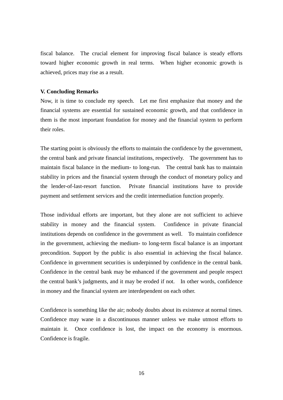fiscal balance. The crucial element for improving fiscal balance is steady efforts toward higher economic growth in real terms. When higher economic growth is achieved, prices may rise as a result.

### **V. Concluding Remarks**

Now, it is time to conclude my speech. Let me first emphasize that money and the financial systems are essential for sustained economic growth, and that confidence in them is the most important foundation for money and the financial system to perform their roles.

The starting point is obviously the efforts to maintain the confidence by the government, the central bank and private financial institutions, respectively. The government has to maintain fiscal balance in the medium- to long-run. The central bank has to maintain stability in prices and the financial system through the conduct of monetary policy and the lender-of-last-resort function. Private financial institutions have to provide payment and settlement services and the credit intermediation function properly.

Those individual efforts are important, but they alone are not sufficient to achieve stability in money and the financial system. Confidence in private financial institutions depends on confidence in the government as well. To maintain confidence in the government, achieving the medium- to long-term fiscal balance is an important precondition. Support by the public is also essential in achieving the fiscal balance. Confidence in government securities is underpinned by confidence in the central bank. Confidence in the central bank may be enhanced if the government and people respect the central bank's judgments, and it may be eroded if not. In other words, confidence in money and the financial system are interdependent on each other.

Confidence is something like the air; nobody doubts about its existence at normal times. Confidence may wane in a discontinuous manner unless we make utmost efforts to maintain it. Once confidence is lost, the impact on the economy is enormous. Confidence is fragile.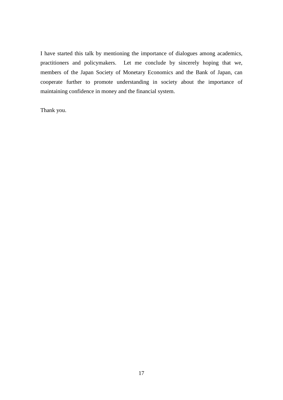I have started this talk by mentioning the importance of dialogues among academics, practitioners and policymakers. Let me conclude by sincerely hoping that we, members of the Japan Society of Monetary Economics and the Bank of Japan, can cooperate further to promote understanding in society about the importance of maintaining confidence in money and the financial system.

Thank you.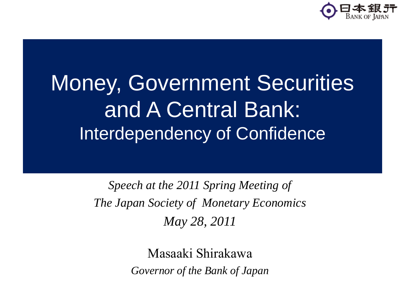

## Money, Government Securities and A Central Bank: Interdependency of Confidence

*Speech at the 2011 Spring Meeting of The Japan Society of Monetary Economics May 28, 2011*

> Masaaki Shirakawa *Governor of the Bank of Japan*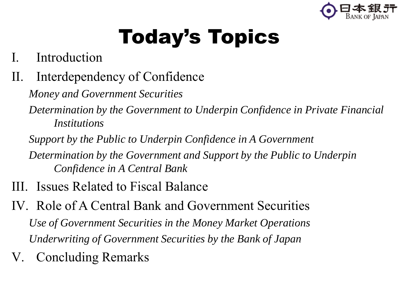

## Today's Topics

- I. Introduction
- II. Interdependency of Confidence

*Money and Government Securities*

*Determination by the Government to Underpin Confidence in Private Financial Institutions*

*Support by the Public to Underpin Confidence in A Government*

*Determination by the Government and Support by the Public to Underpin Confidence in A Central Bank*

- III. Issues Related to Fiscal Balance
- IV. Role of A Central Bank and Government Securities *Use of Government Securities in the Money Market Operations Underwriting of Government Securities by the Bank of Japan*
- V. Concluding Remarks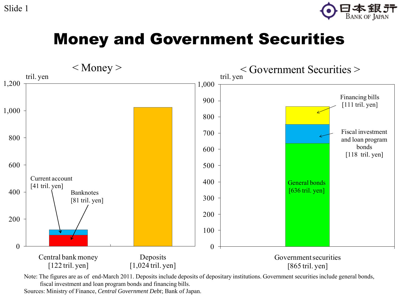Slide 1





Note: The figures are as of end-March 2011. Deposits include deposits of depositary institutions. Government securities include general bonds, fiscal investment and loan program bonds and financing bills.

Sources: Ministry of Finance, *Central Government Debt*; Bank of Japan.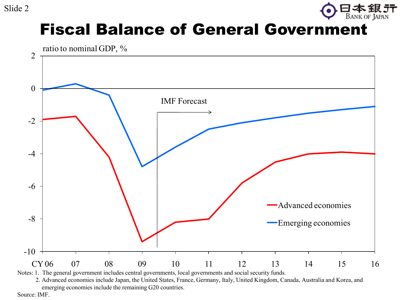

## Fiscal Balance of General Government



2. Advanced economies include Japan, the United States, France, Germany, Italy, United Kingdom, Canada, Australia and Korea, and emerging economies include the remaining G20 countries.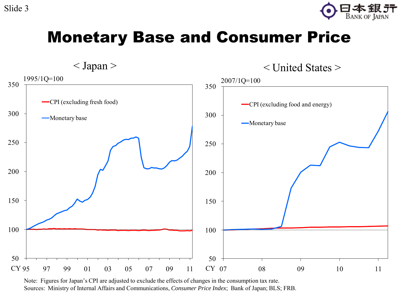

## Monetary Base and Consumer Price



Note: Figures for Japan's CPI are adjusted to exclude the effects of changes in the consumption tax rate. Sources: Ministry of Internal Affairs and Communications, *Consumer Price Index*; Bank of Japan; BLS; FRB.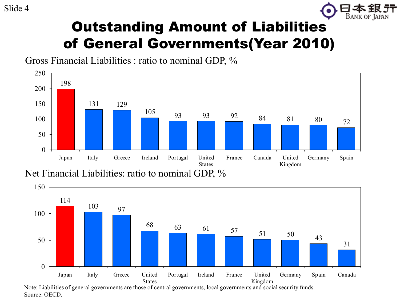

## Outstanding Amount of Liabilities of General Governments(Year 2010)

Gross Financial Liabilities : ratio to nominal GDP, %



Net Financial Liabilities: ratio to nominal GDP, %

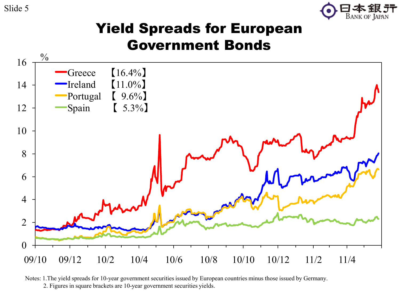Slide 5



## Yield Spreads for European Government Bonds



Notes: 1.The yield spreads for 10-year government securities issued by European countries minus those issued by Germany.

2. Figures in square brackets are 10-year government securities yields.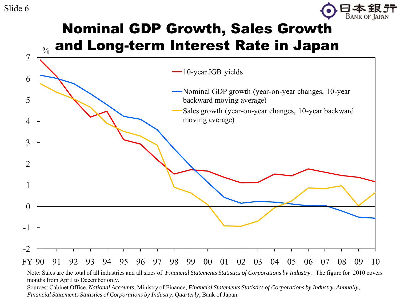

## Nominal GDP Growth, Sales Growth and Long-term Interest Rate in Japan



Note: Sales are the total of all industries and all sizes of *Financial Statements Statistics of Corporations by Industry*. The figure for 2010 covers months from April to December only.

Sources: Cabinet Office, *National Accounts*; Ministry of Finance, *Financial Statements Statistics of Corporations by Industry, Annually*, *Financial Statements Statistics of Corporations by Industry, Quarterly*; Bank of Japan.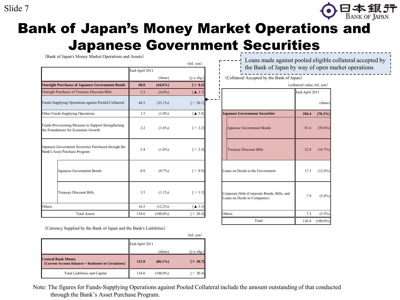### Slide 7



## Bank of Japan's Money Market Operations and Japanese Government Securities

| Adhanese Aniel IIIIIei<br>(Bank of Japan's Money Market Operations and Assets)             | End-April 2011 |             | (tril. yen)                    |                                                                             | Loans made against pooled eligible collateral acce<br>the Bank of Japan by way of open market operation |  |
|--------------------------------------------------------------------------------------------|----------------|-------------|--------------------------------|-----------------------------------------------------------------------------|---------------------------------------------------------------------------------------------------------|--|
|                                                                                            |                | (share)     | $[y-y chg.]$                   | (Collateral Accepted by the Bank of Japan)                                  |                                                                                                         |  |
| <b>Outright Purchases of Japanese Government Bonds</b>                                     | 60.0           | $(44.6\%)$  | $[+8.2]$                       |                                                                             | (collateral value, tril. yen)                                                                           |  |
| Outright Purchases of Treasury Discount Bills                                              | 5.3            | $(4.0\%)$   | $\mathbf{A}$ 3.7               |                                                                             | End-April 2011                                                                                          |  |
| Funds-Supplying Operations against Pooled Collateral                                       | 44.5           | $(33.1\%)$  | $[+20.1]$                      |                                                                             | (share)                                                                                                 |  |
| Other Funds-Supplying Operations                                                           | 1.3            | $(1.0\%)$   | $\left[ 4 \right. 5.8 \right]$ | <b>Japanese Government Securities</b>                                       | 104.4<br>$(76.3\%)$                                                                                     |  |
| Funds-Provisioning Measure to Support Strengthening<br>the Foundations for Economic Growth | 2.2            | $(1.6\%)$   | $[+2.2]$                       | Japanese Government Bonds                                                   | $(59.6\%)$<br>81.6                                                                                      |  |
| Japanese Government Securities Purchased through the<br>Bank's Asset Purchase Program      | 2.4            | $(1.8\%)$   | $[+2.4]$                       | <b>Treasury Discount Bills</b>                                              | $(16.7\%)$<br>22.8                                                                                      |  |
| Japanese Government Bonds                                                                  | 0.9            | $(0.7\%)$   | $[+0.9]$                       | Loans on Deeds to the Government                                            | 17.3<br>$(12.6\%)$                                                                                      |  |
| <b>Treasury Discount Bills</b>                                                             | 1.5            | $(1.1\%)$   | $[+1.5]$                       | Corporate Debt (Corporate Bonds, Bills, and<br>Loans on Deeds to Companies) | 7.9<br>$(5.8\%)$                                                                                        |  |
| Others                                                                                     | 16.5           | $(12.2\%)$  | $\left[ \triangle 5.3 \right]$ |                                                                             |                                                                                                         |  |
| <b>Total Assets</b>                                                                        | 134.6          | $(100.0\%)$ | $[- 20.4]$                     | Others                                                                      | 7.3<br>$(5.3\%)$                                                                                        |  |

Loans made against pooled eligible collateral accepted by the Bank of Japan by way of open market operations

|       | (share)     | $[y-y chg.]$                   | (Collateral Accepted by the Bank of Japan)                                  |                               |             |  |
|-------|-------------|--------------------------------|-----------------------------------------------------------------------------|-------------------------------|-------------|--|
| 60.0  | $(44.6\%)$  | $[+ 8.2]$                      |                                                                             | (collateral value, tril. yen) |             |  |
| 5.3   | $(4.0\%)$   | $\left[ \triangle 3.7 \right]$ |                                                                             | End-April 2011                |             |  |
| 44.5  | $(33.1\%)$  | $[+20.1]$                      |                                                                             |                               | (share)     |  |
| 1.3   | $(1.0\%)$   | $\mathbf{A}$ 5.8]              | <b>Japanese Government Securities</b>                                       | 104.4                         | $(76.3\%)$  |  |
| 2.2   | $(1.6\%)$   | $[+2.2]$                       | Japanese Government Bonds                                                   | 81.6                          | $(59.6\%)$  |  |
| 2.4   | $(1.8\%)$   | $[+2.4]$                       | <b>Treasury Discount Bills</b>                                              | 22.8                          | $(16.7\%)$  |  |
| 0.9   | $(0.7\%)$   | $[+0.9]$                       | Loans on Deeds to the Government                                            | 17.3                          | $(12.6\%)$  |  |
| 1.5   | $(1.1\%)$   | $[+1.5]$                       | Corporate Debt (Corporate Bonds, Bills, and<br>Loans on Deeds to Companies) | 7.9                           | $(5.8\%)$   |  |
| 16.5  | $(12.2\%)$  | $\left[ \triangle 5.3 \right]$ |                                                                             |                               |             |  |
| 134.6 | $(100.0\%)$ | $[+ 20.4]$                     | Others                                                                      | 7.3                           | $(5.3\%)$   |  |
|       |             |                                | Total                                                                       | 136.8                         | $(100.0\%)$ |  |

| (Currency Supplied by the Bank of Japan and the Bank's Liabilities)                |                |             |                                      |  |  |
|------------------------------------------------------------------------------------|----------------|-------------|--------------------------------------|--|--|
|                                                                                    |                |             | (tril. yen)                          |  |  |
|                                                                                    | End-April 2011 |             |                                      |  |  |
|                                                                                    |                | (share)     | $[v-v \text{ chg.}]$                 |  |  |
| <b>Central Bank Money</b><br>(Current Account Balances + Banknotes in Circulation) | 115.9          | $(86.1\%)$  | $[+20.7]$                            |  |  |
| <b>Total Liabilities and Capital</b>                                               | 134.6          | $(100.0\%)$ | $+20.4$ ]                            |  |  |
| $\sim$ $\sim$ 1<br>$c \sim 1$ $a \sim 1$ $c \sim 1$                                |                |             | $\cdot$ $\sqrt{2}$ 1 1 $\sqrt{2}$ 11 |  |  |

Note: The figures for Funds-Supplying Operations against Pooled Collateral include the amount outstanding of that conducted through the Bank's Asset Purchase Program.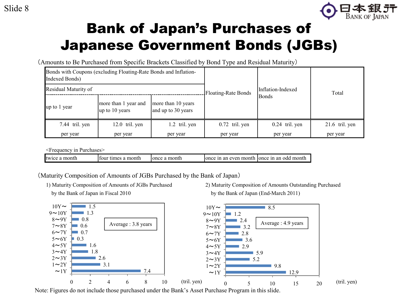

## Bank of Japan's Purchases of Japanese Government Bonds (JGBs)

(Amounts to Be Purchased from Specific Brackets Classified by Bond Type and Residual Maturity)

| Indexed Bonds)       | Bonds with Coupons (excluding Floating-Rate Bonds and Inflation-                   |               |                            |                   | Total            |
|----------------------|------------------------------------------------------------------------------------|---------------|----------------------------|-------------------|------------------|
| Residual Maturity of |                                                                                    |               | <b>Floating-Rate Bonds</b> | Inflation-Indexed |                  |
| up to 1 year         | more than 1 year and<br>more than 10 years<br>and up to 30 years<br>up to 10 years |               |                            | <b>Bonds</b>      |                  |
| 7.44 tril. yen       | $12.0$ tril. yen                                                                   | 1.2 tril. yen | $0.72$ tril. yen           | $0.24$ tril. yen  | $21.6$ tril. yen |
| per year             | per year                                                                           | per year      | per year                   | per year          | per year         |

<Frequency in Purchases>

| twice a month | ∵tımes a month<br>four | a month<br>lonce | once | e in an even month Jonce in an odd month |
|---------------|------------------------|------------------|------|------------------------------------------|

(Maturity Composition of Amounts of JGBs Purchased by the Bank of Japan)

- 
- 1) Maturity Composition of Amounts of JGBs Purchased 2) Maturity Composition of Amounts Outstanding Purchased by the Bank of Japan in Fiscal 2010 by the Bank of Japan (End-March 2011)



Note: Figures do not include those purchased under the Bank's Asset Purchase Program in this slide.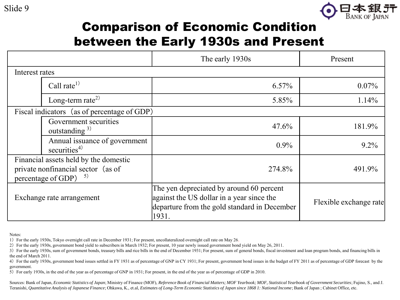

## Comparison of Economic Condition between the Early 1930s and Present

|                                                                                                                    |                                                           | The early 1930s                                                                                                                                | Present                |
|--------------------------------------------------------------------------------------------------------------------|-----------------------------------------------------------|------------------------------------------------------------------------------------------------------------------------------------------------|------------------------|
| Interest rates                                                                                                     |                                                           |                                                                                                                                                |                        |
|                                                                                                                    | Call rate <sup>1)</sup>                                   | $6.57\%$                                                                                                                                       | $0.07\%$               |
|                                                                                                                    | Long-term rate <sup>2)</sup>                              | 5.85%                                                                                                                                          | 1.14%                  |
|                                                                                                                    | Fiscal indicators (as of percentage of GDP)               |                                                                                                                                                |                        |
|                                                                                                                    | Government securities<br>outstanding $3$ )                | 47.6%                                                                                                                                          | 181.9%                 |
|                                                                                                                    | Annual issuance of government<br>securities <sup>4)</sup> | $0.9\%$                                                                                                                                        | $9.2\%$                |
| Financial assets held by the domestic<br>private nonfinancial sector (as of<br>percentage of GDP)<br>$\mathcal{L}$ |                                                           | 274.8%                                                                                                                                         | 491.9%                 |
| Exchange rate arrangement                                                                                          |                                                           | The yen depreciated by around 60 percent<br>against the US dollar in a year since the<br>departure from the gold standard in December<br>1931. | Flexible exchange rate |

Notes:

1)For the early 1930s, Tokyo overnight call rate in December 1931; For present, uncollateralized overnight call rate on May 26.

2)For the early 1930s, government bond yield to subscribers in March 1932; For present, 10 year newly issued government bond yield on May 26, 2011.

3) For the early 1930s, sum of government bonds, treasury bills and rice bills in the end of December 1931; For present, sum of general bonds, fiscal investment and loan program bonds, and financing bills in the end of March 2011.

4) For the early 1930s, government bond issues settled in FY 1931 as of percentage of GNP in CY 1931; For present, government bond issues in the budget of FY 2011 as of percentage of GDP forecast by the government.

5)For early 1930s, in the end of the year as of percentage of GNP in 1931; For present, in the end of the year as of percentage of GDP in 2010.

Sources: Bank of Japan, *Economic Statistics of Japan*; Ministry of Finance (MOF), *Reference Book of Financial Matters; MOF Yearbook; MOF, Statistical Yearbook of Government Securities*; Fujino, S., and J. Teranishi, *Quantitative Analysis of Japanese Finance*; Ohkawa, K., et.al, *Estimates of Long-Term Economic Statistics of Japan since 1868 1: National Income*; Bank of Japan ; Cabinet Office, etc.